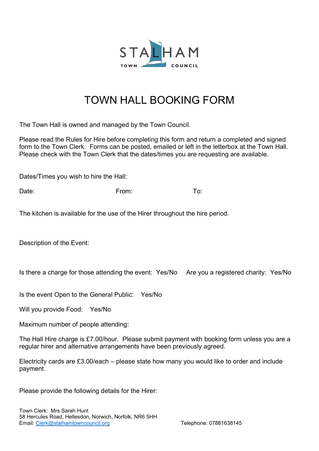

## TOWN HALL BOOKING FORM

The Town Hall is owned and managed by the Town Council.

Please read the Rules for Hire before completing this form and return a completed and signed form to the Town Clerk. Forms can be posted, emailed or left in the letterbox at the Town Hall. Please check with the Town Clerk that the dates/times you are requesting are available.

Dates/Times you wish to hire the Hall:

Date: From: To:

The kitchen is available for the use of the Hirer throughout the hire period.

Description of the Event:

Is there a charge for those attending the event: Yes/No Are you a registered charity: Yes/No

Is the event Open to the General Public: Yes/No

Will you provide Food: Yes/No

Maximum number of people attending:

The Hall Hire charge is £7.00/hour. Please submit payment with booking form unless you are a regular hirer and alternative arrangements have been previously agreed.

Electricity cards are £3.00/each – please state how many you would like to order and include payment.

Please provide the following details for the Hirer: